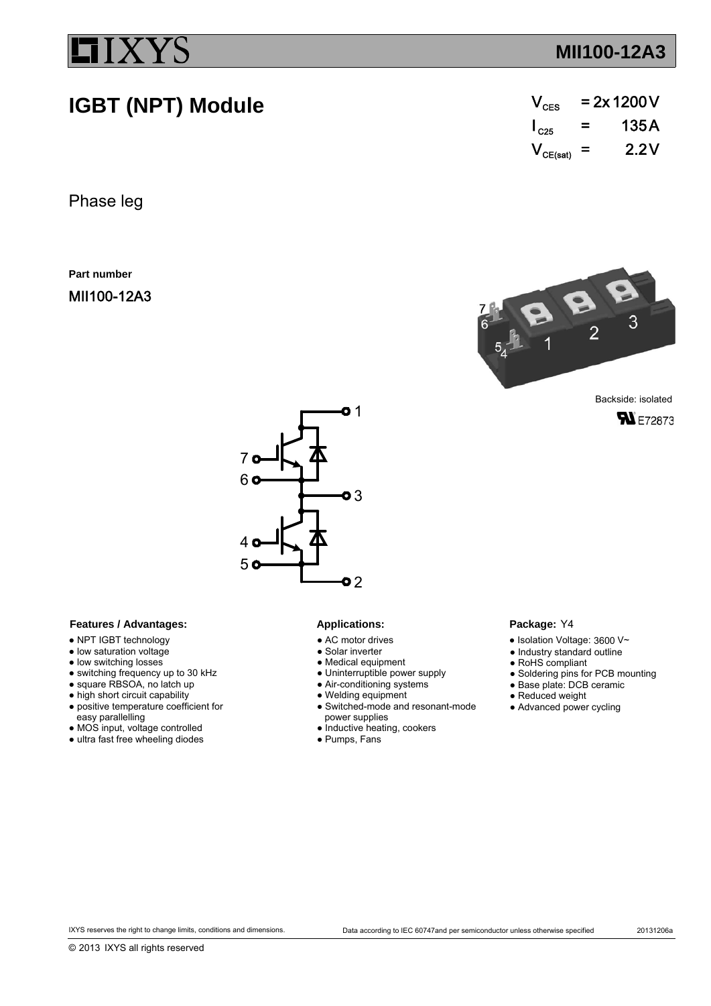**IGBT (NPT) Module**

## **MII100-12A3**

| $\mathsf{V}_{\mathsf{CES}}$ | $= 2x 1200 V$ |       |  |  |  |
|-----------------------------|---------------|-------|--|--|--|
| $\mathsf{I}_{\rm C25}$      | =             | 135 A |  |  |  |
| $V_{CE(sat)}$ =             |               | 2.2V  |  |  |  |

Phase leg

**Part number**

MII100-12A3



**SN**E72873



### Features / Advantages: Applications:

- NPT IGBT technology
- low saturation voltage
- low switching losses
- switching frequency up to 30 kHz
- square RBSOA, no latch up
- high short circuit capability
- positive temperature coefficient for
- easy parallelling
- MOS input, voltage controlled
- ultra fast free wheeling diodes

- AC motor drives
- Solar inverter
- Medical equipment
- Uninterruptible power supply
- Air-conditioning systems
- Welding equipment
- Switched-mode and resonant-mode
- power supplies
- Inductive heating, cookers
- Pumps, Fans

### Package: Y4

- $\bullet$  Isolation Voltage: 3600 V~
- Industry standard outline
- RoHS compliant
- Soldering pins for PCB mounting
- Base plate: DCB ceramic
- Reduced weight
- Advanced power cycling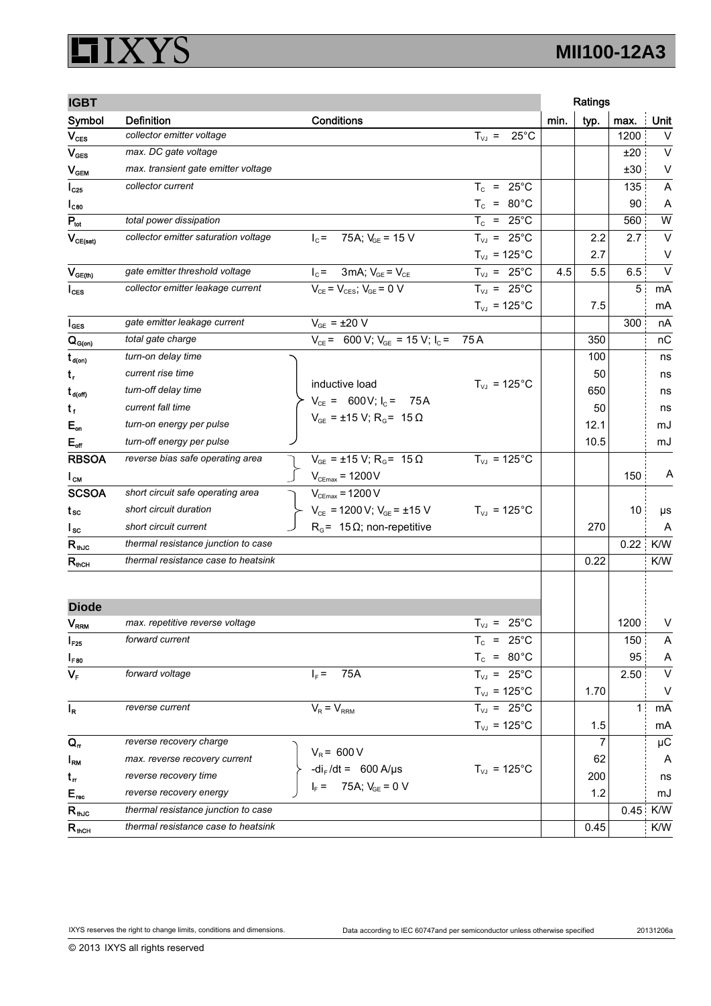### IXYS I h١

| <b>IGBT</b>                  |                                      |                                                                                                 |                              |      | Ratings |      |         |
|------------------------------|--------------------------------------|-------------------------------------------------------------------------------------------------|------------------------------|------|---------|------|---------|
| Symbol                       | <b>Definition</b>                    | Conditions                                                                                      |                              | min. | typ.    | max. | Unit    |
| $V_{\text{CES}}$             | collector emitter voltage            |                                                                                                 | $25^{\circ}$ C<br>$T_{VJ}$ = |      |         | 1200 | V       |
| $V_{\text{GES}}$             | max. DC gate voltage                 |                                                                                                 |                              |      |         | ±20  | $\vee$  |
| $\mathsf{V}_{\mathsf{GEM}}$  | max. transient gate emitter voltage  |                                                                                                 |                              |      |         | ±30  | V       |
| $I_{C25}$                    | collector current                    |                                                                                                 | $T_c$ = 25°C                 |      |         | 135  | A       |
| $I_{C80}$                    |                                      |                                                                                                 | $T_c = 80^{\circ}$ C         |      |         | 90   | A       |
| $P_{tot}$                    | total power dissipation              |                                                                                                 | $T_c = 25^{\circ}$ C         |      |         | 560  | W       |
| $V_{CE(sat)}$                | collector emitter saturation voltage | 75A; $V_{GF}$ = 15 V<br>$I_c =$                                                                 | $T_{VJ}$ = 25°C              |      | 2.2     | 2.7  | V       |
|                              |                                      |                                                                                                 | $T_{\text{VJ}}$ = 125°C      |      | 2.7     |      | V       |
| $V_{GE(th)}$                 | gate emitter threshold voltage       | $I_c = 3mA; V_{GE} = V_{CE}$                                                                    | $T_{VJ}$ = 25°C              | 4.5  | 5.5     | 6.5  | $\vee$  |
| $I_{\text{CES}}$             | collector emitter leakage current    | $V_{CE} = V_{CES}$ ; $V_{GE} = 0$ V                                                             | $T_{VJ}$ = 25°C              |      |         | 5    | mA      |
|                              |                                      |                                                                                                 | $T_{VJ}$ = 125°C             |      | 7.5     |      | mA      |
| $I_{\texttt{GES}}$           | gate emitter leakage current         | $V_{GE} = \pm 20 \text{ V}$                                                                     |                              |      |         | 300  | nA      |
| $Q_{G(on)}$                  | total gate charge                    | $V_{CE}$ = 600 V; $V_{GE}$ = 15 V; $I_C$ =                                                      | 75 A                         |      | 350     |      | nC      |
| $t_{\sf d(on)}$              | turn-on delay time                   |                                                                                                 |                              |      | 100     |      | ns      |
| $t_{r}$                      | current rise time                    |                                                                                                 |                              |      | 50      |      | ns      |
| $t_{\text{d(off)}}$          | turn-off delay time                  | inductive load                                                                                  | $T_{VJ} = 125^{\circ}C$      |      | 650     |      | ns      |
| $t_{f}$                      | current fall time                    | $V_{CE}$ = 600V; $I_C$ = 75A                                                                    |                              |      | 50      |      | ns      |
| $E_{on}$                     | turn-on energy per pulse             | $V_{GE}$ = ±15 V; R <sub>G</sub> = 15 $\Omega$                                                  |                              |      | 12.1    |      | mJ      |
| $E_{\text{off}}$             | turn-off energy per pulse            |                                                                                                 |                              |      | 10.5    |      | mJ      |
| <b>RBSOA</b>                 | reverse bias safe operating area     | $V_{GE}$ = ±15 V; R <sub>G</sub> = 15 $\Omega$                                                  | $T_{VJ}$ = 125°C             |      |         |      |         |
| $I_{CM}$                     |                                      | $V_{CEmax}$ = 1200 $V$                                                                          |                              |      |         | 150  | Α       |
| <b>SCSOA</b>                 | short circuit safe operating area    | $V_{CEmax}$ = 1200 V                                                                            |                              |      |         |      |         |
| t sc                         | short circuit duration               | $V_{CE}$ = 1200 V; $V_{GE}$ = ±15 V                                                             | $T_{VJ}$ = 125°C             |      |         | 10   | $\mu s$ |
| $I_{\rm sc}$                 | short circuit current                | $R_G$ = 15 $\Omega$ ; non-repetitive                                                            |                              |      | 270     |      | A       |
| $\mathsf{R}_{\mathsf{thJC}}$ | thermal resistance junction to case  |                                                                                                 |                              |      |         | 0.22 | K/W     |
| $R_{\rm nCH}$                | thermal resistance case to heatsink  |                                                                                                 |                              |      | 0.22    |      | K/W     |
|                              |                                      |                                                                                                 |                              |      |         |      |         |
| <b>Diode</b>                 |                                      |                                                                                                 |                              |      |         |      |         |
| <b>V<sub>RRM</sub></b>       | max. repetitive reverse voltage      |                                                                                                 | $T_{VJ}$ = 25°C              |      |         | 1200 | V       |
| $I_{F25}$                    | forward current                      |                                                                                                 | $T_c$ = 25°C                 |      |         | 150  | A       |
| $I_{F80}$                    |                                      |                                                                                                 | $T_c = 80^{\circ}$ C         |      |         | 95   | A       |
| $V_F$                        | forward voltage                      | 75A<br>$I_F =$                                                                                  | $T_{VJ}$ = 25°C              |      |         | 2.50 | $\vee$  |
|                              |                                      |                                                                                                 | $T_{VJ}$ = 125°C             |      | 1.70    |      | v       |
| $I_R$                        | reverse current                      | $V_R = V_{RRM}$                                                                                 | $T_{VJ}$ = 25°C              |      |         | 11   | mA      |
|                              |                                      |                                                                                                 | $T_{VJ}$ = 125°C             |      | 1.5     |      | mA      |
| $Q_{\sf n}$                  | reverse recovery charge              |                                                                                                 |                              |      | 7       |      | $\mu$ C |
| $I_{\rm RM}$                 | max. reverse recovery current        | $V_R$ = 600 V<br>-di <sub>F</sub> /dt = 600 A/µs<br>I <sub>F</sub> = 75A; V <sub>GE</sub> = 0 V | $T_{VJ}$ = 125°C             |      | 62      |      | A       |
| $t_{\rm r}$                  | reverse recovery time                |                                                                                                 |                              |      | 200     |      | ns      |
| $E_{\text{rec}}$             | reverse recovery energy              |                                                                                                 |                              |      | 1.2     |      | mJ      |
| $R_{th,IC}$                  | thermal resistance junction to case  |                                                                                                 |                              |      |         | 0.45 | K/W     |
| $R_{\text{mCH}}$             | thermal resistance case to heatsink  |                                                                                                 |                              |      | 0.45    |      | K/W     |

© 2013 IXYS all rights reserved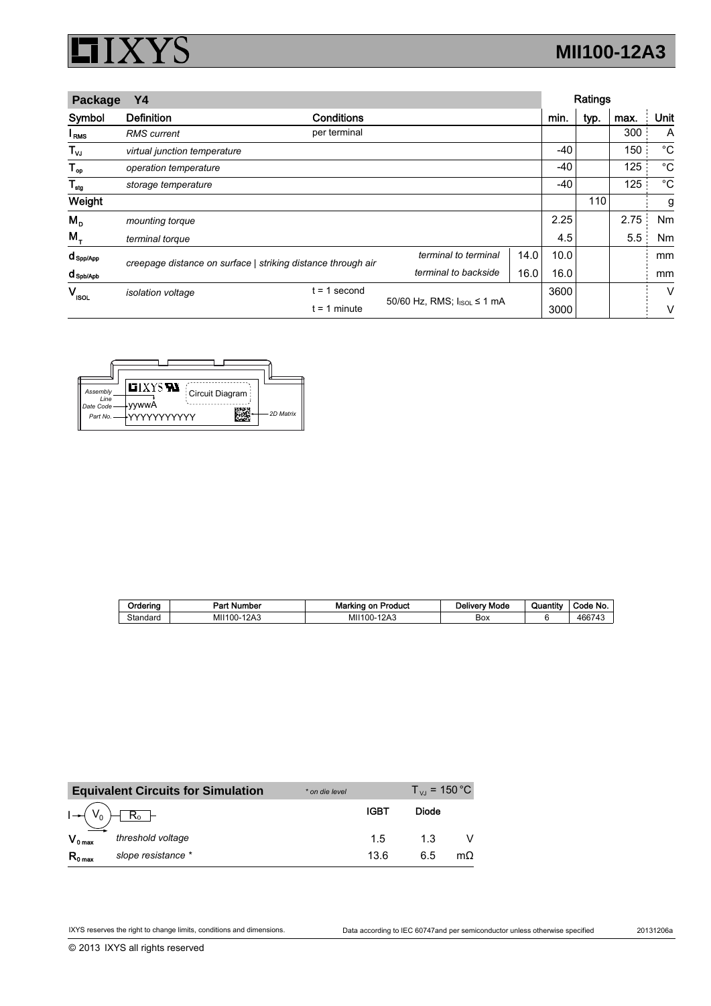## IXYS  $\Box$

# **MII100-12A3**

| Package                    | Υ4                           |                                                              |                                         |      | Ratings |      |      |      |
|----------------------------|------------------------------|--------------------------------------------------------------|-----------------------------------------|------|---------|------|------|------|
| Symbol                     | <b>Definition</b>            | Conditions                                                   |                                         |      | min.    | typ. | max. | Unit |
| I <sub>RMS</sub>           | <b>RMS</b> current           | per terminal                                                 |                                         |      |         |      | 300  | A    |
| $\mathsf{T}_{\mathsf{vJ}}$ | virtual junction temperature |                                                              |                                         |      | -40     |      | 150  | °C   |
| ${\mathsf T}_{\sf op}$     | operation temperature        |                                                              |                                         |      | $-40$   |      | 125  | °C   |
| $\mathsf{T}_{\sf{stg}}$    | storage temperature          |                                                              |                                         |      | $-40$   |      | 125  | °C   |
| Weight                     |                              |                                                              |                                         |      |         | 110  |      | g    |
| $M_{\text{p}}$             | mounting torque              |                                                              |                                         |      | 2.25    |      | 2.75 | Nm   |
| $M_{\tau}$                 | terminal torque              |                                                              |                                         |      | 4.5     |      | 5.5  | Nm   |
| $d_{\text{Spp/App}}$       |                              | creepage distance on surface   striking distance through air | terminal to terminal                    | 14.0 | 10.0    |      |      | mm   |
| d spb/Apb                  |                              |                                                              | terminal to backside                    | 16.0 | 16.0    |      |      | mm   |
| $V_{\rm ISOL}$             | <i>isolation</i> voltage     | second<br>$= 1$                                              |                                         |      | 3600    |      |      | V    |
|                            | $= 1$ minute                 |                                                              | 50/60 Hz, RMS; I <sub>ISOL</sub> ≤ 1 mA |      | 3000    |      |      | ν    |

| Assembly<br>Line<br>Date Code<br>Part No. | <b>LIXYS RA</b><br>Circuit Diagram<br>vvwwA<br>2D Matrix<br>∔ΥΥΥΥΥΥΥΥΥΥΥ |
|-------------------------------------------|--------------------------------------------------------------------------|

| Ordering | <b>Part Number</b> | <b>Marking on Product</b> | <b>Delivery Mode</b> | $-0.01$<br>Quantity | Code No. |
|----------|--------------------|---------------------------|----------------------|---------------------|----------|
| Standard | MII100-12A3        | $-12A3$<br>MII100-1       | Box                  |                     | 466743   |

|                     | <b>Equivalent Circuits for Simulation</b> | * on die level |      | $T_{\rm VI}$ = 150 °C |     |
|---------------------|-------------------------------------------|----------------|------|-----------------------|-----|
|                     |                                           |                | IGBT | Diode                 |     |
| $V_{0 \max}$        | threshold voltage                         |                | 1.5  | 1.3                   |     |
| $R_{0 \text{ max}}$ | slope resistance *                        |                | 13.6 | 6.5                   | mO. |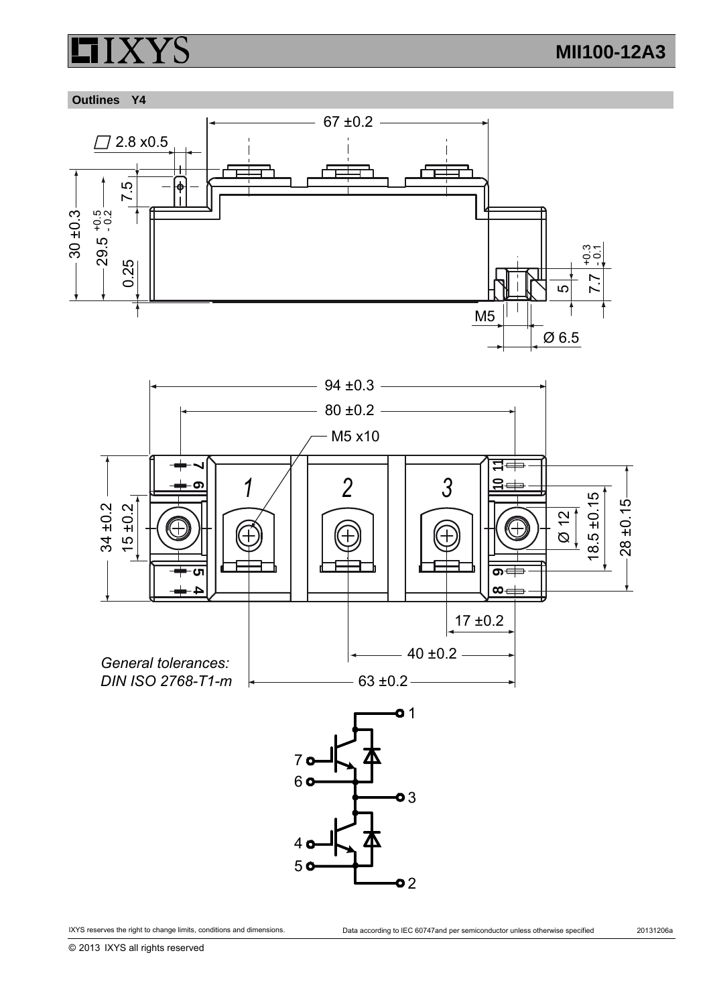## **Outlines Y4**





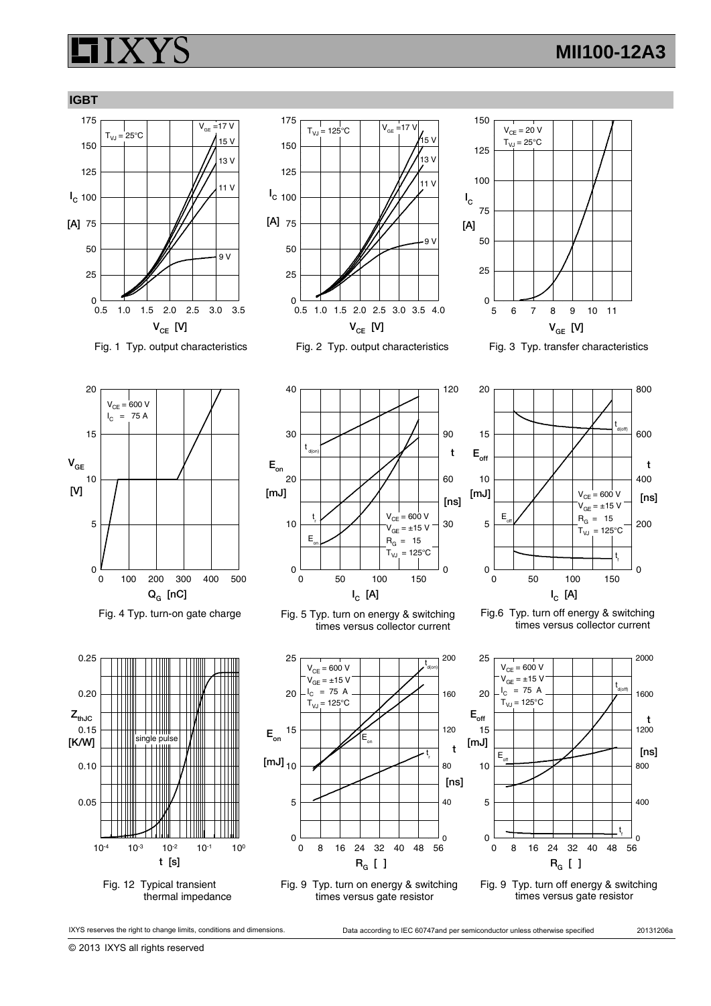## **MII100-12A3**











Fig. 4 Typ. turn-on gate charge



Fig. 12 Typical transient thermal impedance



Fig. 5 Typ. turn on energy & switching times versus collector current



Fig. 9 Typ. turn on energy & switching times versus gate resistor



Fig.6 Typ. turn off energy & switching times versus collector current